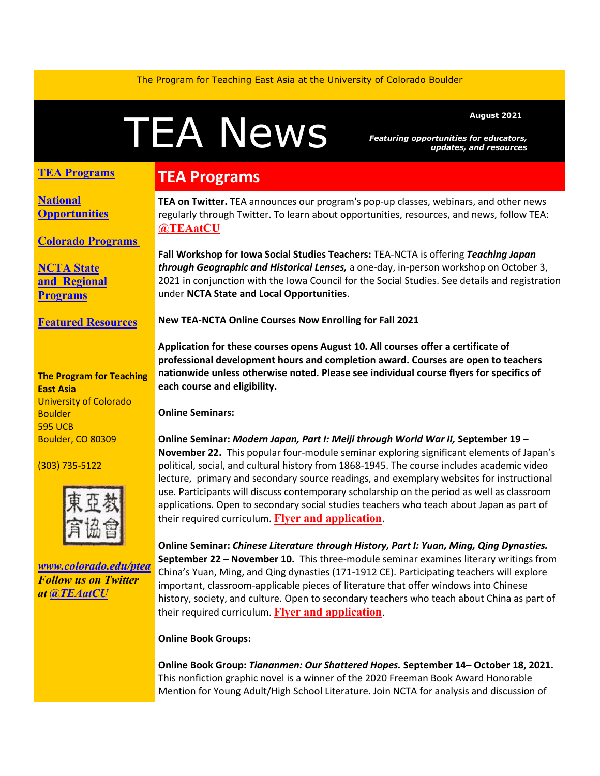The Program for Teaching East Asia at the University of Colorado Boulder

# A News Featuring opportunities for educators

*Featuring opportunities for educators, updates, and resources*

### **TEA Programs**

**[National](#page-1-0)  [Opportunities](#page-1-0)**

**[Colorado Programs](#page-2-0)**

**[NCTA State](#page-2-1)  and [Regional](#page-2-1)  [Programs](#page-2-1)**

**[Featured Resources](#page-3-0)**

#### **The Program for Teaching East Asia** University of Colorado **Boulder** 595 UCB Boulder, CO 80309

(303) 735-5122



*[www.colorado.edu/ptea](http://www.colorado.edu/cas/tea) Follow us on Twitter at [@TEAatCU](https://twitter.com/TEAatCU)*

## **TEA Programs**

**TEA on Twitter.** TEA announces our program's pop-up classes, webinars, and other news regularly through Twitter. To learn about opportunities, resources, and news, follow TEA: **[@TEAatCU](https://twitter.com/TEAatCU)**

**Fall Workshop for Iowa Social Studies Teachers:** TEA-NCTA is offering *Teaching Japan through Geographic and Historical Lenses,* a one-day, in-person workshop on October 3, 2021 in conjunction with the Iowa Council for the Social Studies. See details and registration under **NCTA State and Local Opportunities**.

**New TEA-NCTA Online Courses Now Enrolling for Fall 2021** 

**Application for these courses opens August 10. All courses offer a certificate of professional development hours and completion award. Courses are open to teachers nationwide unless otherwise noted. Please see individual course flyers for specifics of each course and eligibility.** 

**Online Seminars:**

**Online Seminar:** *Modern Japan, Part I: Meiji through World War II,* **September 19 – November 22.** This popular four-module seminar exploring significant elements of Japan's political, social, and cultural history from 1868-1945. The course includes academic video lecture, primary and secondary source readings, and exemplary websites for instructional use. Participants will discuss contemporary scholarship on the period as well as classroom applications. Open to secondary social studies teachers who teach about Japan as part of their required curriculum. **[Flyer and application](https://www.colorado.edu/ptea/sites/default/files/attached-files/modjapanflyerfall20.pdf)**.

**Online Seminar:** *Chinese Literature through History, Part I: Yuan, Ming, Qing Dynasties.*  **September 22 – November 10.** This three-module seminar examines literary writings from China's Yuan, Ming, and Qing dynasties (171-1912 CE). Participating teachers will explore important, classroom-applicable pieces of literature that offer windows into Chinese history, society, and culture. Open to secondary teachers who teach about China as part of their required curriculum. **[Flyer and application](https://www.colorado.edu/ptea/sites/default/files/attached-files/lithistcourseflyerfall2020.pdf)**.

#### **Online Book Groups:**

**Online Book Group:** *Tiananmen: Our Shattered Hopes.* **September 14– October 18, 2021.**  This nonfiction graphic novel is a winner of the 2020 Freeman Book Award Honorable Mention for Young Adult/High School Literature. Join NCTA for analysis and discussion of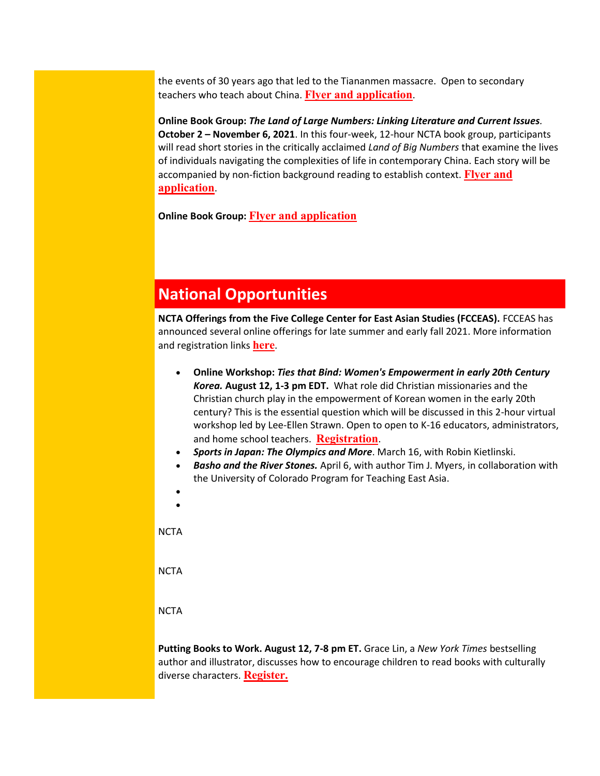the events of 30 years ago that led to the Tiananmen massacre. Open to secondary teachers who teach about China. **[Flyer and application](https://www.colorado.edu/ptea/sites/default/files/attached-files/tiananmen1989flyer.pdf)**.

**Online Book Group:** *The Land of Large Numbers: Linking Literature and Current Issues.*  **October 2 – November 6, 2021**. In this four-week, 12-hour NCTA book group, participants will read short stories in the critically acclaimed *Land of Big Numbers* that examine the lives of individuals navigating the complexities of life in contemporary China. Each story will be accompanied by non-fiction background reading to establish context. **[Flyer and](https://www.colorado.edu/ptea/content/chinanumbersflyer)  [application](https://www.colorado.edu/ptea/content/chinanumbersflyer)**.

**Online Book Group: [Flyer and application](https://www.colorado.edu/ptea/sites/default/files/attached-files/si2021application.pdf)**

## <span id="page-1-0"></span>**National Opportunities**

**NCTA Offerings from the Five College Center for East Asian Studies (FCCEAS).** FCCEAS has announced several online offerings for late summer and early fall 2021. More information and registration links **[here](https://www.fivecolleges.edu/fcceas)**.

- **Online Workshop:** *Ties that Bind: Women's Empowerment in early 20th Century Korea.* **August 12, 1-3 pm EDT.** What role did Christian missionaries and the Christian church play in the empowerment of Korean women in the early 20th century? This is the essential question which will be discussed in this 2-hour virtual workshop led by Lee-Ellen Strawn. Open to open to K-16 educators, administrators, and home school teachers. **[Registration](https://www.fivecolleges.edu/fcceas/ncta/2021-women-in-korea-workshop)**.
- *Sports in Japan: The Olympics and More*. March 16, with Robin Kietlinski.
- *Basho and the River Stones.* April 6, with author Tim J. Myers, in collaboration with the University of Colorado Program for Teaching East Asia.
- •

•

**NCTA** 

**NCTA** 

**NCTA** 

**Putting Books to Work. August 12, 7-8 pm ET.** Grace Lin, a *New York Times* bestselling author and illustrator, discusses how to encourage children to read books with culturally diverse characters. **[Register.](https://secure-web.cisco.com/1_H-9aMAVSW4Rm6JHULz7Hc3rCgzn6G1iI-XSRNKLD0-EGzaDI02dMsDg0AXgtJJpuC7w_pPktwiZ2e7vS5e8dCuSpUPgdDBymHr5YMEolZmQQ0HD7ds4qZlnv6hnMYMn8SOJAS62BVQKhjLGam9oXRCjQowzi0d5EWuNPVofM60NjVSNs2Zb4XE8Pmy1BM-yBqEH78GqeYB5toXw_WkMjzUTgcHQm7H9X2rHwnOrN2qCpnB4JRzILYJrfcVVjoRzczjeU8bjpfrQCBWKGr7-V6YOI4TROE-Nkyn7L0ByeYtGoyTg1ucO5BrLRTHEOT_ffa5WRq-dWJFp-nIPGflc15oSF13IKmc0clDCXaxTiwJQvyswflCbzFVbiNDsQhuJ86QmkVHXggGS18qtbZaVc7yIpsCnuyXdoPjJp5zfk7YJ59DiPgs1o4wmWEbM-NoNM3fkgR7pq5B13Ri3VUVYfA/https%3A%2F%2Fwww.carlemuseum.org%2Fvisit%2Fevents%2Fputting-books-work%3Ffbclid%3DIwAR1BXJDsOzKjgzL8jVZgKV0e5pQngEmD7ANfJz5nMJb3tFQiIC9FseOhSjI)**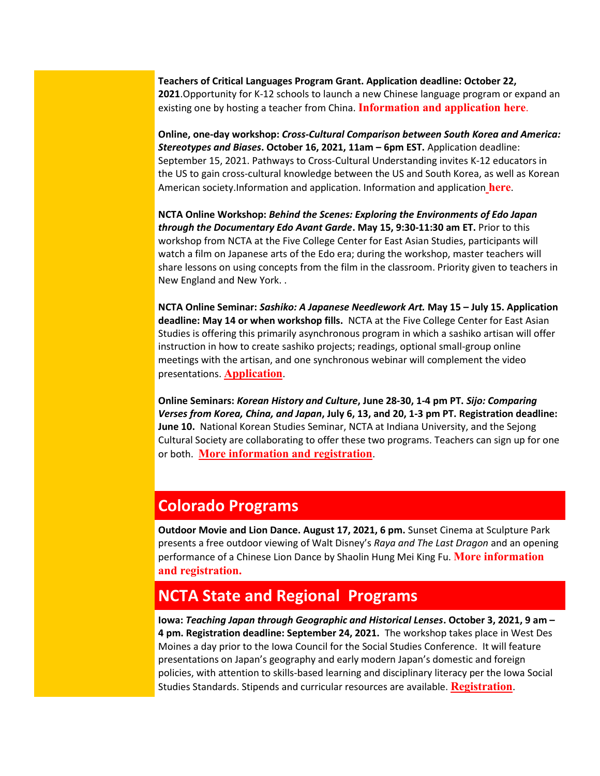**Teachers of Critical Languages Program Grant. Application deadline: October 22, 2021**.Opportunity for K-12 schools to launch a new Chinese language program or expand an existing one by hosting a teacher from China. **[Information and application here](https://tclprogram.org/apply-us-schools)**.

**Online, one-day workshop:** *Cross-Cultural Comparison between South Korea and America: Stereotypes and Biases***. October 16, 2021, 11am – 6pm EST.** Application deadline: September 15, 2021. Pathways to Cross-Cultural Understanding invites K-12 educators in the US to gain cross-cultural knowledge between the US and South Korea, as well as Korean American society.Information and application. Information and application **[here](https://secure-web.cisco.com/1OYghvILRYmWyW07RwfbLIRipB_lL1J5YJfA3Kg7b0bRITSkcnA2Drep52B6wCy81SBGj1gPUiy-F3otZDbfl5MgbZJVAPRjwB0Sr9HdnbhhDSroY8a-FA8oJHajk-zGNWdEdFV0pYquxItsTQM5di_RiHIBCQBUauNbBrLHQvrSz_d7uNdtKMU7NEHlxO06daGttnZg6fDzrmI82H5yQTVL2AzoXuCzMlgsjLcUNH5PIheViBFB1gK53EkbKt2pQbBFOmv6Iy_JOtTShzazNgPfAbCfUhmOCBmDP64Y_fyA1h4jmEAfO7ZTnDv4LRkbsGJhNWRL_pDw02rgSjA7sbzkrOuawCZSux47U7y78uRjmaVIxc8L2LNFZ8Snzy17zG9npwElYUHMw6yoLc3KaRSfISg_jyfq0gx7nvDNb6gSrRPxOsf1eVib56DAHCkq_eqxImACoxR6etK6bVyh_lQ/https%3A%2F%2Fwww.pcrosscultural.com%2Fevent-details%2Fstereotypes-and-discrimination)**.

**NCTA Online Workshop:** *Behind the Scenes: Exploring the Environments of Edo Japan through the Documentary Edo Avant Garde***. May 15, 9:30-11:30 am ET.** Prior to this workshop from NCTA at the Five College Center for East Asian Studies, participants will watch a film on Japanese arts of the Edo era; during the workshop, master teachers will share lessons on using concepts from the film in the classroom. Priority given to teachers in New England and New York. .

**NCTA Online Seminar:** *Sashiko: A Japanese Needlework Art.* **May 15 – July 15. Application deadline: May 14 or when workshop fills.** NCTA at the Five College Center for East Asian Studies is offering this primarily asynchronous program in which a sashiko artisan will offer instruction in how to create sashiko projects; readings, optional small-group online meetings with the artisan, and one synchronous webinar will complement the video presentations. **[Application](https://www.fivecolleges.edu/fcceas/ncta/sashiko-online-workshop)**.

**Online Seminars:** *Korean History and Culture***, June 28-30, 1-4 pm PT.** *Sijo: Comparing Verses from Korea, China, and Japan***, July 6, 13, and 20, 1-3 pm PT. Registration deadline: June 10.** National Korean Studies Seminar, NCTA at Indiana University, and the Sejong Cultural Society are collaborating to offer these two programs. Teachers can sign up for one or both. **[More information and registration](https://docs.google.com/document/d/1nnqj-iA48I4ZUFj_eWm-S8HvyVOy7zoxEhLiRem9wTU/edit)**.

## <span id="page-2-0"></span>**Colorado Programs**

**Outdoor Movie and Lion Dance. August 17, 2021, 6 pm.** Sunset Cinema at Sculpture Park presents a free outdoor viewing of Walt Disney's *Raya and The Last Dragon* and an opening performance of a Chinese Lion Dance by Shaolin Hung Mei King Fu. **[More information](https://www.eventbrite.com/e/sunset-cinema-raya-and-the-last-dragon-tickets-164556195009)  [and registration.](https://www.eventbrite.com/e/sunset-cinema-raya-and-the-last-dragon-tickets-164556195009)**

## <span id="page-2-1"></span>**NCTA State and Regional Programs**

**Iowa:** *Teaching Japan through Geographic and Historical Lenses***. October 3, 2021, 9 am – 4 pm. Registration deadline: September 24, 2021.** The workshop takes place in West Des Moines a day prior to the Iowa Council for the Social Studies Conference. It will feature presentations on Japan's geography and early modern Japan's domestic and foreign policies, with attention to skills-based learning and disciplinary literacy per the Iowa Social Studies Standards. Stipends and curricular resources are available. **[Registration](http://www.colorado.edu/ptea/content/iafall2021flyer)**.